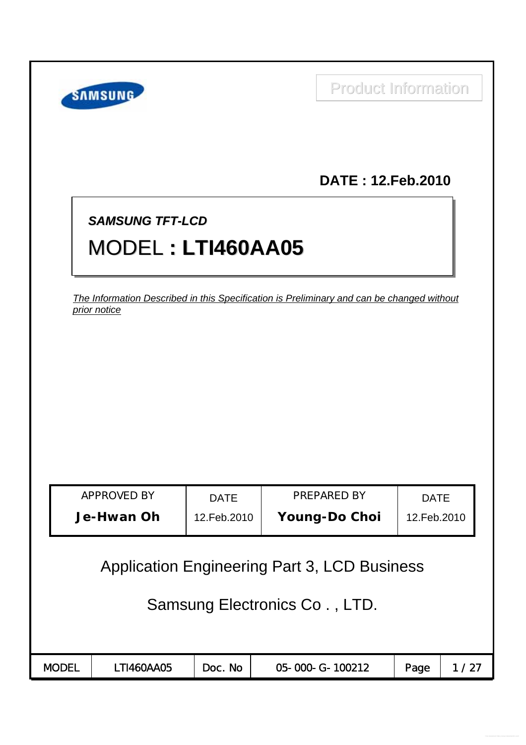|                                                                                                           | <b>SAMSUNG</b>            |                            | <b>Product Information</b>          |                            |      |  |  |  |  |
|-----------------------------------------------------------------------------------------------------------|---------------------------|----------------------------|-------------------------------------|----------------------------|------|--|--|--|--|
|                                                                                                           |                           |                            | <b>DATE: 12. Feb. 2010</b>          |                            |      |  |  |  |  |
| <b>SAMSUNG TFT-LCD</b><br><b>MODEL: LTI460AA05</b>                                                        |                           |                            |                                     |                            |      |  |  |  |  |
| The Information Described in this Specification is Preliminary and can be changed without<br>prior notice |                           |                            |                                     |                            |      |  |  |  |  |
|                                                                                                           |                           |                            |                                     |                            |      |  |  |  |  |
|                                                                                                           |                           |                            |                                     |                            |      |  |  |  |  |
|                                                                                                           |                           |                            |                                     |                            |      |  |  |  |  |
|                                                                                                           | APPROVED BY<br>Je-Hwan Oh | <b>DATE</b><br>12.Feb.2010 | PREPARED BY<br><b>Young-Do Choi</b> | <b>DATE</b><br>12.Feb.2010 |      |  |  |  |  |
| <b>Application Engineering Part 3, LCD Business</b>                                                       |                           |                            |                                     |                            |      |  |  |  |  |
| Samsung Electronics Co., LTD.                                                                             |                           |                            |                                     |                            |      |  |  |  |  |
|                                                                                                           |                           |                            |                                     |                            |      |  |  |  |  |
| <b>MODEL</b>                                                                                              | LTI460AA05                | Doc. No                    | 05-000-G-100212                     | Page                       | 1/27 |  |  |  |  |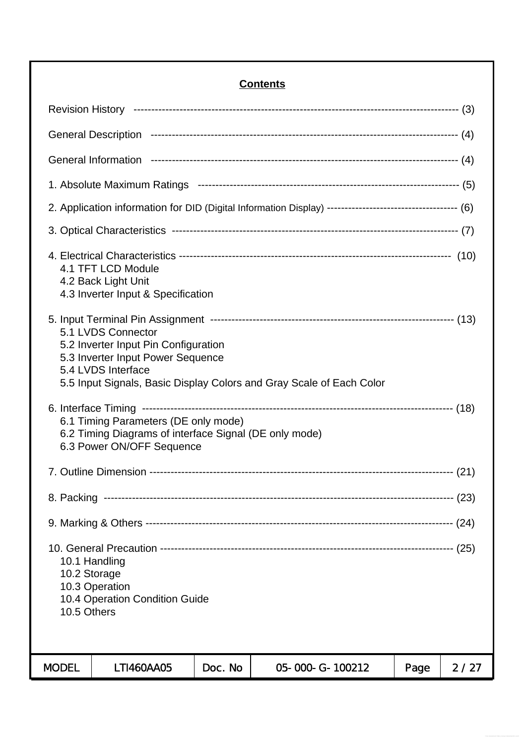### **Contents**

| 2. Application information for DID (Digital Information Display) ----------------------------------- (6)                    |         |                                                                      |      |      |  |  |
|-----------------------------------------------------------------------------------------------------------------------------|---------|----------------------------------------------------------------------|------|------|--|--|
|                                                                                                                             |         |                                                                      |      |      |  |  |
| 4.1 TFT LCD Module<br>4.2 Back Light Unit<br>4.3 Inverter Input & Specification                                             |         |                                                                      |      |      |  |  |
| 5.1 LVDS Connector<br>5.2 Inverter Input Pin Configuration<br>5.3 Inverter Input Power Sequence<br>5.4 LVDS Interface       |         | 5.5 Input Signals, Basic Display Colors and Gray Scale of Each Color |      |      |  |  |
| 6.1 Timing Parameters (DE only mode)<br>6.2 Timing Diagrams of interface Signal (DE only mode)<br>6.3 Power ON/OFF Sequence |         |                                                                      |      |      |  |  |
|                                                                                                                             |         |                                                                      |      |      |  |  |
|                                                                                                                             |         |                                                                      |      |      |  |  |
|                                                                                                                             |         |                                                                      |      |      |  |  |
| 10.1 Handling<br>10.2 Storage<br>10.3 Operation<br>10.4 Operation Condition Guide<br>10.5 Others                            |         |                                                                      |      |      |  |  |
| <b>MODEL</b><br>LTI460AA05                                                                                                  | Doc. No | 05-000-G-100212                                                      | Page | 2/27 |  |  |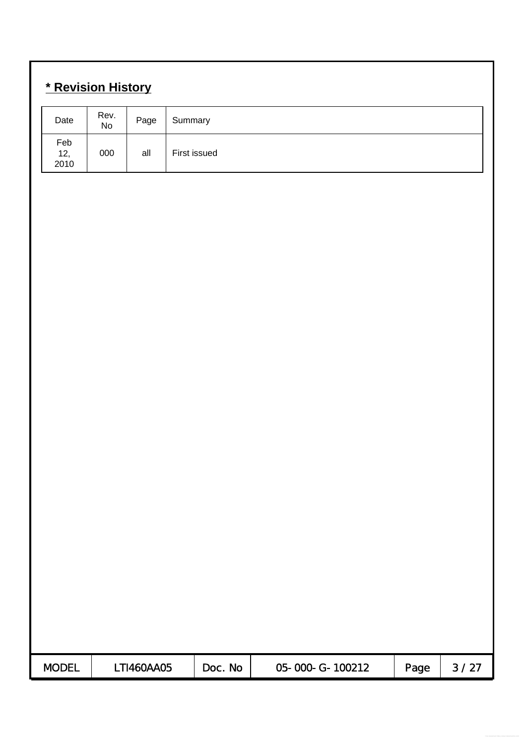# **\* Revision History**

| Date               | Rev.<br>No | Page       | Summary |              |                 |      |        |
|--------------------|------------|------------|---------|--------------|-----------------|------|--------|
| Feb<br>12,<br>2010 | 000        | all        |         | First issued |                 |      |        |
|                    |            |            |         |              |                 |      |        |
|                    |            |            |         |              |                 |      |        |
|                    |            |            |         |              |                 |      |        |
|                    |            |            |         |              |                 |      |        |
|                    |            |            |         |              |                 |      |        |
|                    |            |            |         |              |                 |      |        |
|                    |            |            |         |              |                 |      |        |
|                    |            |            |         |              |                 |      |        |
|                    |            |            |         |              |                 |      |        |
|                    |            |            |         |              |                 |      |        |
|                    |            |            |         |              |                 |      |        |
|                    |            |            |         |              |                 |      |        |
|                    |            |            |         |              |                 |      |        |
|                    |            |            |         |              |                 |      |        |
|                    |            |            |         |              |                 |      |        |
|                    |            |            |         |              |                 |      |        |
| <b>MODEL</b>       |            | LTI460AA05 |         | Doc. No      | 05-000-G-100212 | Page | $3/27$ |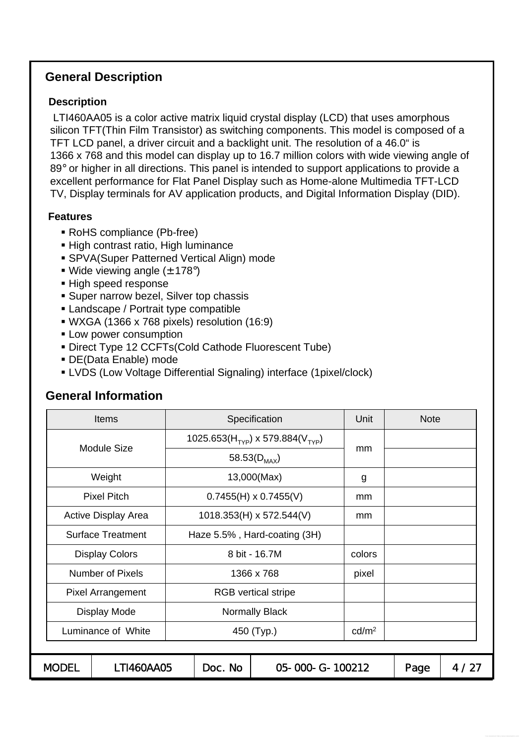### **General Description**

### **Description**

LTI460AA05 is a color active matrix liquid crystal display (LCD) that uses amorphous silicon TFT(Thin Film Transistor) as switching components. This model is composed of a TFT LCD panel, a driver circuit and a backlight unit. The resolution of a 46.0" is 1366 x 768 and this model can display up to 16.7 million colors with wide viewing angle of 89° or higher in all directions. This panel is intended to support applications to provide a excellent performance for Flat Panel Display such as Home-alone Multimedia TFT-LCD TV, Display terminals for AV application products, and Digital Information Display (DID).

### **Features**

- RoHS compliance (Pb-free)
- **High contrast ratio, High luminance**
- SPVA(Super Patterned Vertical Align) mode
- Wide viewing angle  $(\pm 178^{\circ})$
- High speed response
- **Super narrow bezel, Silver top chassis**
- **Landscape / Portrait type compatible**
- WXGA (1366 x 768 pixels) resolution (16:9)
- **Low power consumption**
- Direct Type 12 CCFTs(Cold Cathode Fluorescent Tube)
- DE(Data Enable) mode
- LVDS (Low Voltage Differential Signaling) interface (1pixel/clock)

# MODEL | LTI460AA05 | Doc. No | 05-000-G-100212 | Page | 4/27 58.53 $(D_{MAX})$ Pixel Pitch 0.7455(H) x 0.7455(V) mm Weight 13,000(Max) g mm 1025.653(H<sub>TYP</sub>) x 579.884(V<sub>TYP</sub>) Module Size Active Display Area | 1018.353(H) x 572.544(V) | mm **Note** Surface Treatment | Haze 5.5%, Hard-coating (3H) Luminance of White  $\vert$  450 (Typ.) cd/m<sup>2</sup> Display Mode | Normally Black Pixel Arrangement | RGB vertical stripe Number of Pixels | 1366 x 768 pixel Display Colors 1 8 bit - 16.7M colors Items **Specification** Specification **Unit**

## **General Information**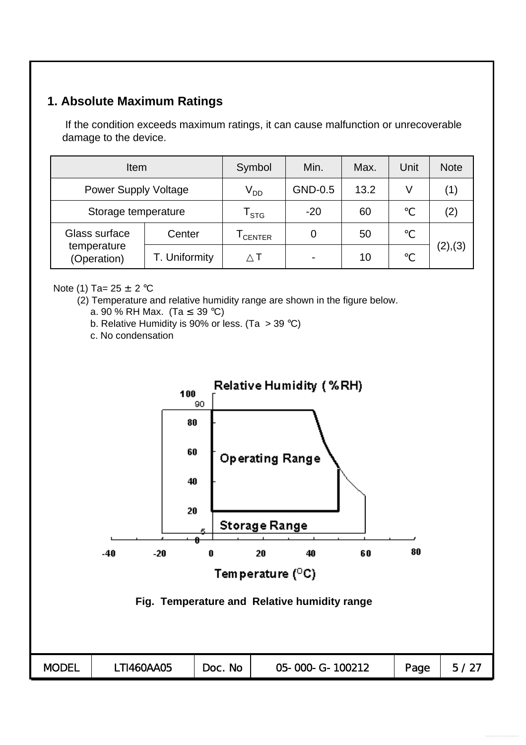## **1. Absolute Maximum Ratings**

If the condition exceeds maximum ratings, it can cause malfunction or unrecoverable damage to the device.

| <b>Item</b>                 | Symbol        | Min.                        | Max.    | Unit | <b>Note</b> |          |
|-----------------------------|---------------|-----------------------------|---------|------|-------------|----------|
| <b>Power Supply Voltage</b> |               | $V_{DD}$                    | GND-0.5 | 13.2 | V           | (1)      |
| Storage temperature         |               | $\mathsf{r}_{\textsf{STG}}$ | $-20$   | 60   |             | (2)      |
| Glass surface               | Center        | CENTER                      | 0       | 50   |             |          |
| temperature<br>(Operation)  | T. Uniformity |                             |         | 10   |             | (2), (3) |

### Note (1) Ta=  $25 \pm 2$  °C

- (2) Temperature and relative humidity range are shown in the figure below.
	- a. 90 % RH Max. (Ta 39 °C)
	- b. Relative Humidity is 90% or less. (Ta  $>$  39 °C)
	- c. No condensation

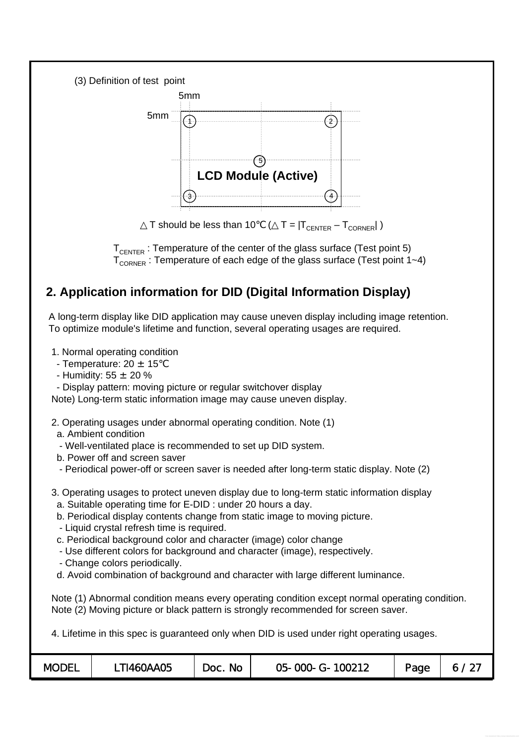



T should be less than 10  $(T = |T_{CFNTER} - T_{CORNER}|)$ 

 $T_{\text{CHTFR}}$ : Temperature of the center of the glass surface (Test point 5)  $T_{\text{CORNER}}$ : Temperature of each edge of the glass surface (Test point 1~4)

# **2. Application information for DID (Digital Information Display)**

A long-term display like DID application may cause uneven display including image retention. To optimize module's lifetime and function, several operating usages are required.

1. Normal operating condition

- Temperature:  $20 \pm 15$
- Humidity:  $55 \pm 20 \%$
- Display pattern: moving picture or regular switchover display

Note) Long-term static information image may cause uneven display.

- 2. Operating usages under abnormal operating condition. Note (1)
- a. Ambient condition
- Well-ventilated place is recommended to set up DID system.
- b. Power off and screen saver
- Periodical power-off or screen saver is needed after long-term static display. Note (2)
- 3. Operating usages to protect uneven display due to long-term static information display
	- a. Suitable operating time for E-DID : under 20 hours a day.
	- b. Periodical display contents change from static image to moving picture.
	- Liquid crystal refresh time is required.
	- c. Periodical background color and character (image) color change
	- Use different colors for background and character (image), respectively.
	- Change colors periodically.
	- d. Avoid combination of background and character with large different luminance.

Note (1) Abnormal condition means every operating condition except normal operating condition. Note (2) Moving picture or black pattern is strongly recommended for screen saver.

4. Lifetime in this spec is guaranteed only when DID is used under right operating usages.

| <b>MODEL</b> | <b>TI460AA05</b> | No<br>Doc. | 05-000-G-100212 | Page |  |
|--------------|------------------|------------|-----------------|------|--|
|--------------|------------------|------------|-----------------|------|--|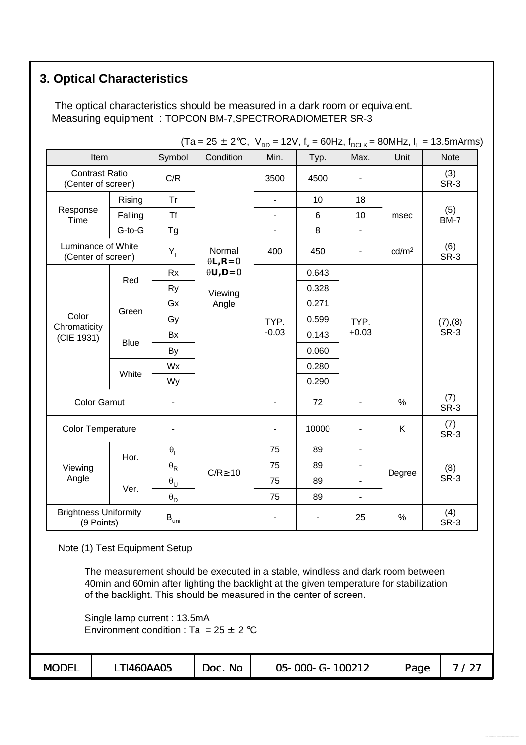# **3. Optical Characteristics**

The optical characteristics should be measured in a dark room or equivalent. Measuring equipment : TOPCON BM-7,SPECTRORADIOMETER SR-3

|                                             |             | $\cdots$                         |                              | טט י                     | $\cdot$ – $\cdot$ , $\cdot$ $\vee$ |                              | - ---, - <sub>L</sub> |                    |
|---------------------------------------------|-------------|----------------------------------|------------------------------|--------------------------|------------------------------------|------------------------------|-----------------------|--------------------|
| Item                                        |             | Symbol                           | Condition                    | Min.                     | Typ.                               | Max.                         | Unit                  | <b>Note</b>        |
| <b>Contrast Ratio</b><br>(Center of screen) |             | C/R                              |                              | 3500                     | 4500                               |                              |                       | (3)<br>SR-3        |
|                                             | Rising      | <b>Tr</b>                        |                              | $\blacksquare$           | 10                                 | 18                           |                       |                    |
| Response<br>Time                            | Falling     | <b>Tf</b>                        |                              | ٠                        | 6                                  | 10                           | msec                  | (5)<br><b>BM-7</b> |
|                                             | G-to-G      | Tg                               |                              | $\blacksquare$           | 8                                  | $\blacksquare$               |                       |                    |
| Luminance of White<br>(Center of screen)    |             | $\mathsf{Y}_\mathsf{L}$          | Normal<br>$\theta L$ , R = 0 | 400                      | 450                                | $\overline{\phantom{0}}$     | cd/m <sup>2</sup>     | (6)<br>SR-3        |
|                                             |             | <b>Rx</b>                        | $\theta U, D = 0$            |                          | 0.643                              |                              |                       |                    |
|                                             | Red         | <b>Ry</b>                        | Viewing                      |                          | 0.328                              |                              |                       |                    |
|                                             |             | Gx                               | Angle                        |                          | 0.271                              |                              |                       | (7), (8)<br>SR-3   |
| Color                                       | Green       | Gy                               |                              | TYP.                     | 0.599                              | TYP.                         |                       |                    |
| Chromaticity<br>(CIE 1931)                  |             | Bx                               |                              | $-0.03$                  | 0.143                              | $+0.03$                      |                       |                    |
|                                             | <b>Blue</b> | By                               |                              |                          | 0.060                              |                              |                       |                    |
|                                             | White       | Wx                               |                              |                          | 0.280                              |                              |                       |                    |
|                                             |             | Wy                               |                              |                          | 0.290                              |                              |                       |                    |
| <b>Color Gamut</b>                          |             |                                  |                              | $\overline{\phantom{0}}$ | 72                                 |                              | $\%$                  | (7)<br>SR-3        |
| <b>Color Temperature</b>                    |             |                                  |                              | ٠                        | 10000                              |                              | K                     | (7)<br>SR-3        |
|                                             |             | $\boldsymbol{\theta}_\mathsf{L}$ |                              | 75                       | 89                                 | ä,                           |                       |                    |
| Viewing                                     | Hor.        | $\boldsymbol{\theta}_\mathsf{R}$ |                              | 75                       | 89                                 |                              |                       | (8)                |
| Angle                                       |             | $\boldsymbol{\theta}_\mathsf{U}$ | $C/R$ 10                     | 75                       | 89                                 |                              | Degree                | SR-3               |
|                                             | Ver.        | $\boldsymbol{\theta}_\mathsf{D}$ |                              | 75                       | 89                                 | $\qquad \qquad \blacksquare$ |                       |                    |
| <b>Brightness Uniformity</b><br>(9 Points)  |             | $\mathsf{B}_{\mathsf{uni}}$      |                              | ٠                        |                                    | 25                           | $\%$                  | (4)<br>SR-3        |

 $(Ta = 25 \pm 2^{\circ}C$ ,  $V_{\text{DD}} = 12V$ ,  $f_{\text{D}} = 60$ Hz,  $f_{\text{DD}} = 80$ MHz,  $I_{\text{D}} = 13.5$ mArms)

Note (1) Test Equipment Setup

The measurement should be executed in a stable, windless and dark room between 40min and 60min after lighting the backlight at the given temperature for stabilization of the backlight. This should be measured in the center of screen.

Single lamp current : 13.5mA Environment condition : Ta =  $25 \pm 2^{\circ}$ C

| <b>MODEL</b> | TI460AA05 | <b>No</b><br>Doc. | 05-000-G-100212 | Page | ົ່ |
|--------------|-----------|-------------------|-----------------|------|----|
|--------------|-----------|-------------------|-----------------|------|----|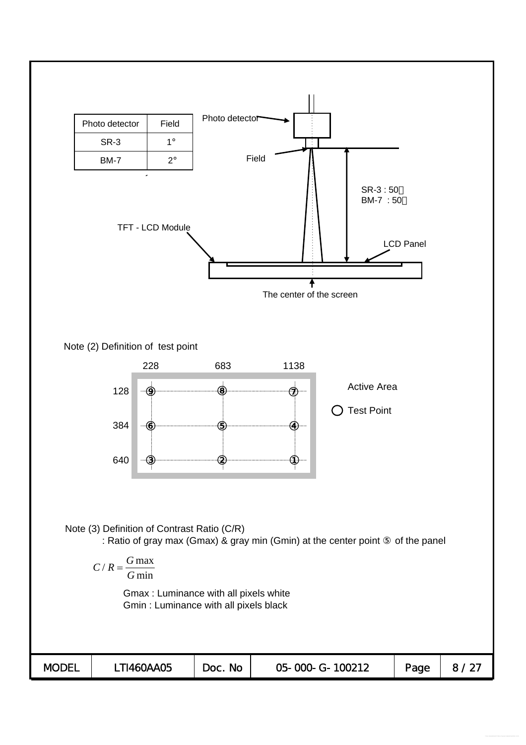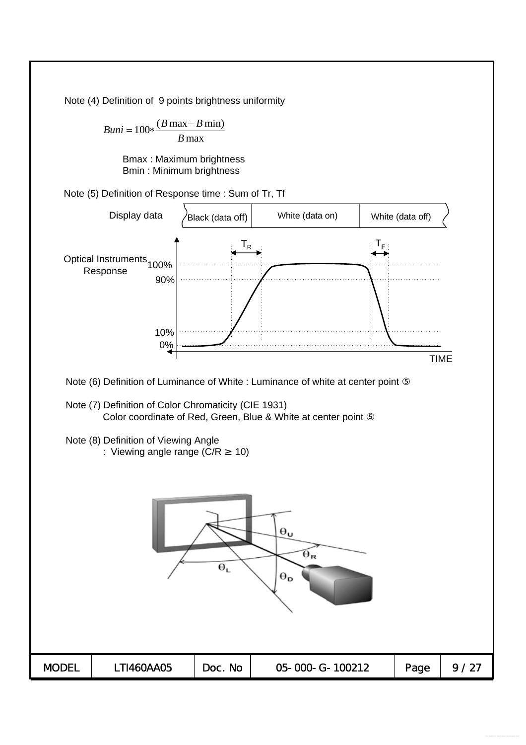Note (4) Definition of 9 points brightness uniformity

 $Buni = 100 * \frac{(B \max - B \min)}{B}$ *B* max

> Bmax : Maximum brightness Bmin : Minimum brightness

Note (5) Definition of Response time : Sum of Tr, Tf

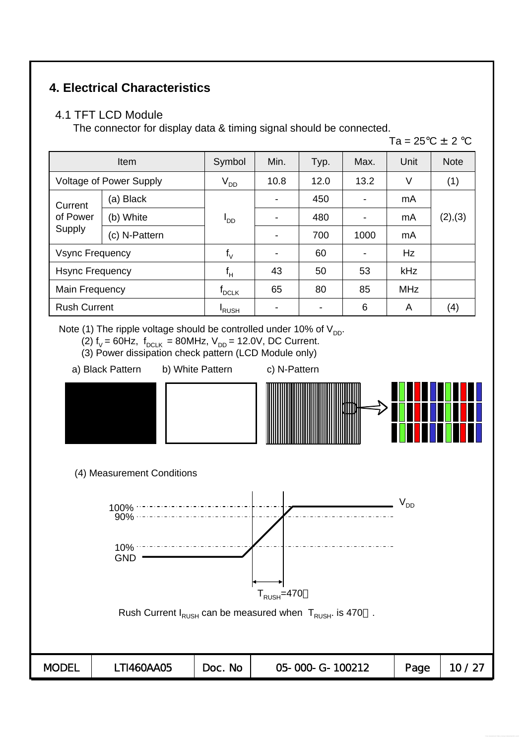## **4. Electrical Characteristics**

### 4.1 TFT LCD Module

The connector for display data & timing signal should be connected.

Ta =  $25^{\circ}$ C  $\pm$  2  $^{\circ}$ C

|                                | <b>Item</b>   | Symbol          | Min. | Typ. | Max. | Unit       | <b>Note</b> |
|--------------------------------|---------------|-----------------|------|------|------|------------|-------------|
| <b>Voltage of Power Supply</b> |               | $V_{DD}$        | 10.8 | 12.0 | 13.2 | V          | (1)         |
| Current                        | (a) Black     |                 |      | 450  |      | mA         | (2), (3)    |
| of Power                       | (b) White     | ים <sup>ו</sup> |      | 480  |      | mA         |             |
| Supply                         | (c) N-Pattern |                 |      | 700  | 1000 | mA         |             |
| <b>Vsync Frequency</b>         |               | $f_V$           |      | 60   |      | Hz         |             |
| <b>Hsync Frequency</b>         |               | $f_H$           | 43   | 50   | 53   | kHz        |             |
| Main Frequency                 |               | $f_{DCLK}$      | 65   | 80   | 85   | <b>MHz</b> |             |
| <b>Rush Current</b>            |               | <b>RUSH</b>     |      |      | 6    | A          | (4)         |

Note (1) The ripple voltage should be controlled under 10% of  $V_{DD}$ .

- (2)  $f_v = 60Hz$ ,  $f_{DCLK} = 80MHz$ ,  $V_{DD} = 12.0V$ , DC Current.
- (3) Power dissipation check pattern (LCD Module only)
- a) Black Pattern b) White Pattern c) N-Pattern



(4) Measurement Conditions

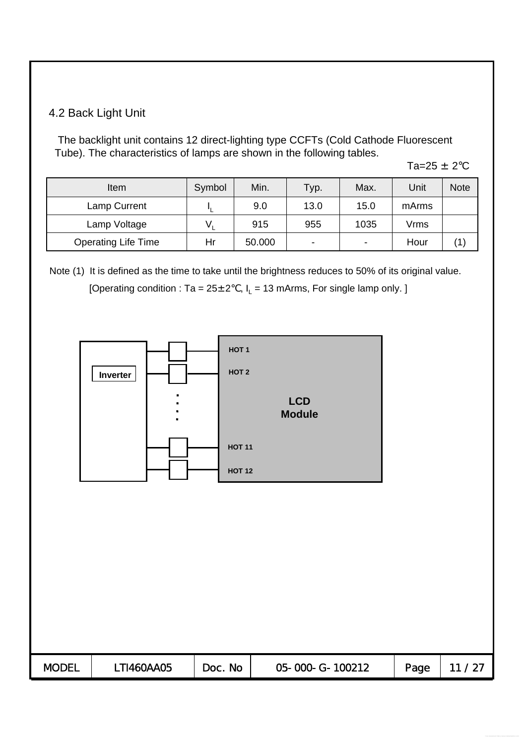### 4.2 Back Light Unit

The backlight unit contains 12 direct-lighting type CCFTs (Cold Cathode Fluorescent Tube). The characteristics of lamps are shown in the following tables.

Ta= $25 \pm 2^{\circ}$ C

| Item                       | Symbol | Min.   | Typ. | Max. | Unit  | <b>Note</b> |
|----------------------------|--------|--------|------|------|-------|-------------|
| Lamp Current               |        | 9.0    | 13.0 | 15.0 | mArms |             |
| Lamp Voltage               |        | 915    | 955  | 1035 | Vrms  |             |
| <b>Operating Life Time</b> | Hr     | 50.000 | -    | -    | Hour  |             |

Note (1) It is defined as the time to take until the brightness reduces to 50% of its original value. [Operating condition : Ta =  $25 \pm 2$ , I<sub>L</sub> = 13 mArms, For single lamp only. ]



| <b>MODEL</b> | TI460AA05 | <b>No</b><br>Doc. | 05-000-G-100212 | Page |  |
|--------------|-----------|-------------------|-----------------|------|--|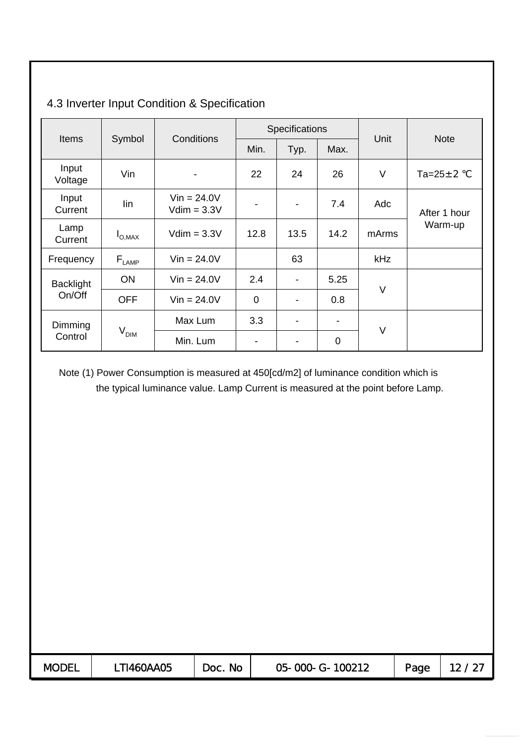|                  |                                   | <b>Conditions</b>              |                          | Specifications           |      |        | <b>Note</b>       |  |
|------------------|-----------------------------------|--------------------------------|--------------------------|--------------------------|------|--------|-------------------|--|
| <b>Items</b>     | Symbol                            |                                | Min.                     | Typ.                     | Max. | Unit   |                   |  |
| Input<br>Voltage | Vin                               |                                | 22                       | 24                       | 26   | $\vee$ | Ta= $25 \pm 2$ °C |  |
| Input<br>Current | lin                               | $Vin = 24.0V$<br>$Vdim = 3.3V$ | $\overline{\phantom{a}}$ | $\blacksquare$           | 7.4  | Adc    | After 1 hour      |  |
| Lamp<br>Current  | $I_{\text{O,MAX}}$                | $Vdim = 3.3V$                  | 12.8                     | 13.5                     | 14.2 | mArms  | Warm-up           |  |
| Frequency        | $\mathsf{F}_{\text{\tiny{LAMP}}}$ | $Vin = 24.0V$                  |                          | 63                       |      | kHz    |                   |  |
| <b>Backlight</b> | <b>ON</b>                         | $Vin = 24.0V$                  | 2.4                      | $\blacksquare$           | 5.25 |        |                   |  |
| On/Off           | <b>OFF</b>                        | $Vin = 24.0V$                  | $\overline{0}$           | $\blacksquare$           | 0.8  | V      |                   |  |
| Dimming          |                                   | Max Lum                        | 3.3                      | $\overline{\phantom{a}}$ |      |        |                   |  |
| Control          | V <sub>DIM</sub>                  | Min. Lum                       | $\blacksquare$           | -                        | 0    | $\vee$ |                   |  |

# 4.3 Inverter Input Condition & Specification

Note (1) Power Consumption is measured at 450[cd/m2] of luminance condition which is the typical luminance value. Lamp Current is measured at the point before Lamp.

| <b>MODEL</b> | T1460AA05 | <b>No</b><br>Doc. | 05-000-G-100212 | Page |  |
|--------------|-----------|-------------------|-----------------|------|--|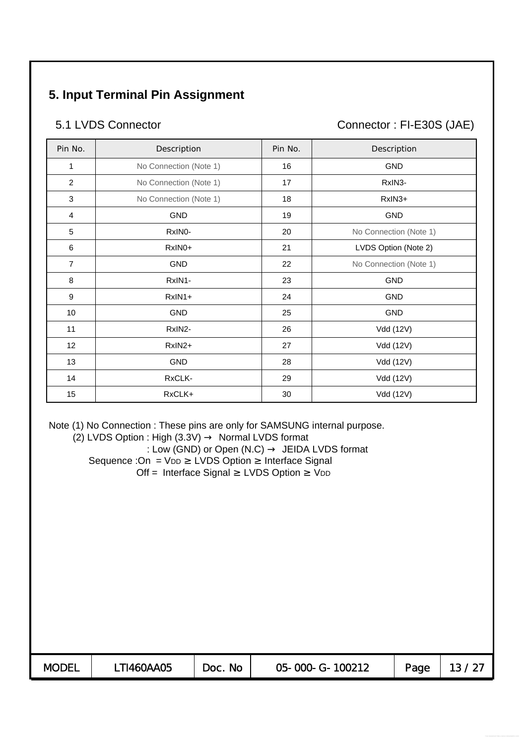# **5. Input Terminal Pin Assignment**

5.1 LVDS Connector Connector : FI-E30S (JAE)

| Pin No.        | Description            | Pin No. | Description            |
|----------------|------------------------|---------|------------------------|
| 1              | No Connection (Note 1) | 16      | <b>GND</b>             |
| $\overline{2}$ | No Connection (Note 1) | 17      | RxIN3-                 |
| 3              | No Connection (Note 1) | 18      | RxIN3+                 |
| 4              | <b>GND</b>             | 19      | <b>GND</b>             |
| 5              | RxINO-                 | 20      | No Connection (Note 1) |
| 6              | RxIN0+                 | 21      | LVDS Option (Note 2)   |
| $\overline{7}$ | <b>GND</b>             | 22      | No Connection (Note 1) |
| 8              | RxIN1-                 | 23      | <b>GND</b>             |
| 9              | RxIN1+                 | 24      | <b>GND</b>             |
| 10             | <b>GND</b>             | 25      | <b>GND</b>             |
| 11             | RxIN2-                 | 26      | Vdd (12V)              |
| 12             | RxIN2+                 | 27      | Vdd (12V)              |
| 13             | GND                    | 28      | Vdd (12V)              |
| 14             | RxCLK-                 | 29      | Vdd (12V)              |
| 15             | RxCLK+                 | 30      | Vdd (12V)              |

Note (1) No Connection : These pins are only for SAMSUNG internal purpose.<br>(2) LVDS Option : High (3.3V) Normal LVDS format

 $(2)$  LVDS Option : High  $(3.3V)$ 

: Low (GND) or Open (N.C) JEIDA LVDS format Sequence : On = VDD LVDS Option Interface Signal Off = Interface Signal LVDS Option VDD

| <b>MODEL</b> | T1460AA05 | <b>No</b><br>DOC . | 05-000-G-100212 | Page |  |
|--------------|-----------|--------------------|-----------------|------|--|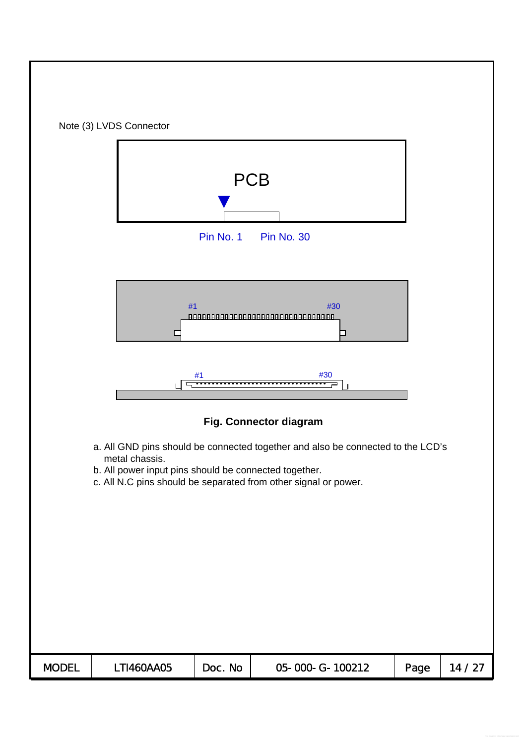|                                                                                                                                                                                                                               | Note (3) LVDS Connector |           |                                 |      |       |  |  |  |  |  |
|-------------------------------------------------------------------------------------------------------------------------------------------------------------------------------------------------------------------------------|-------------------------|-----------|---------------------------------|------|-------|--|--|--|--|--|
|                                                                                                                                                                                                                               |                         | Pin No. 1 | <b>PCB</b><br><b>Pin No. 30</b> |      |       |  |  |  |  |  |
| #1<br>#30<br>88888888888888888888888888888888<br>$\mathbf{I}$<br>#30<br>#1                                                                                                                                                    |                         |           |                                 |      |       |  |  |  |  |  |
|                                                                                                                                                                                                                               |                         |           | Fig. Connector diagram          |      |       |  |  |  |  |  |
| a. All GND pins should be connected together and also be connected to the LCD's<br>metal chassis.<br>b. All power input pins should be connected together.<br>c. All N.C pins should be separated from other signal or power. |                         |           |                                 |      |       |  |  |  |  |  |
| <b>MODEL</b>                                                                                                                                                                                                                  | LTI460AA05              | Doc. No   | 05-000-G-100212                 | Page | 14/27 |  |  |  |  |  |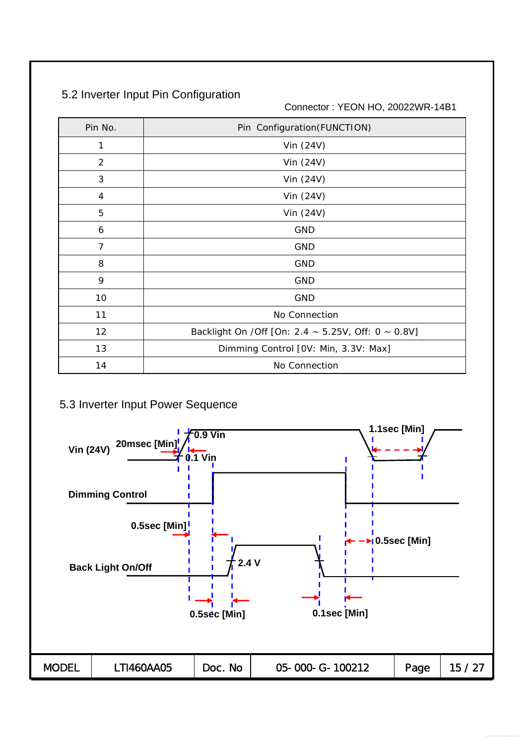# 5.2 Inverter Input Pin Configuration

Connector : YEON HO, 20022WR-14B1

| Pin No.        | Pin Configuration(FUNCTION)                         |
|----------------|-----------------------------------------------------|
| 1              | Vin (24V)                                           |
| $\overline{2}$ | Vin $(24V)$                                         |
| 3              | Vin (24V)                                           |
| 4              | Vin $(24V)$                                         |
| 5              | Vin (24V)                                           |
| 6              | <b>GND</b>                                          |
| 7              | GND                                                 |
| 8              | <b>GND</b>                                          |
| 9              | <b>GND</b>                                          |
| 10             | <b>GND</b>                                          |
| 11             | No Connection                                       |
| 12             | Backlight On / Off [On: 2.4 ~ 5.25V, Off: 0 ~ 0.8V] |
| 13             | Dimming Control [OV: Min, 3.3V: Max]                |
| 14             | No Connection                                       |

### 5.3 Inverter Input Power Sequence

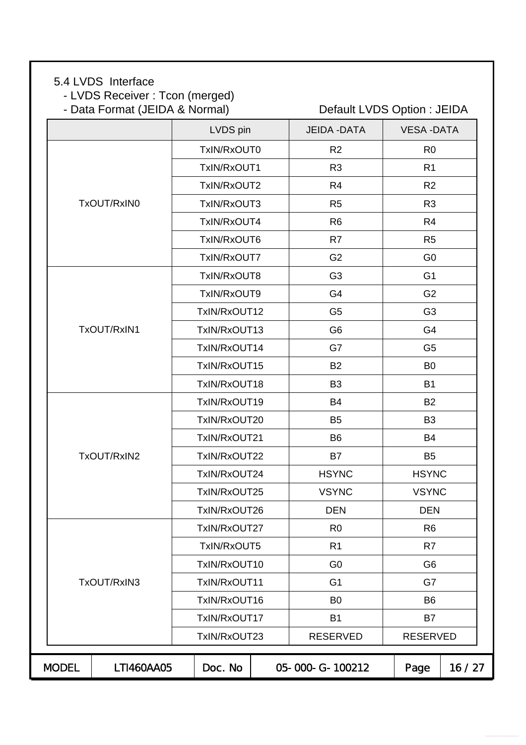# 5.4 LVDS Interface

- LVDS Receiver : Tcon (merged)

- Data Format (JEIDA & Normal) Default LVDS Option : JEIDA

|              |             | LVDS pin     | <b>JEIDA - DATA</b> | <b>VESA-DATA</b> |       |
|--------------|-------------|--------------|---------------------|------------------|-------|
|              |             | TxIN/RxOUT0  | R <sub>2</sub>      | R <sub>0</sub>   |       |
|              |             | TxIN/RxOUT1  | R <sub>3</sub>      | R <sub>1</sub>   |       |
|              |             | TxIN/RxOUT2  | R <sub>4</sub>      | R2               |       |
|              | TxOUT/RxIN0 | TxIN/RxOUT3  | R <sub>5</sub>      | R <sub>3</sub>   |       |
|              |             | TxIN/RxOUT4  | R <sub>6</sub>      | R <sub>4</sub>   |       |
|              |             | TxIN/RxOUT6  | R7                  | R <sub>5</sub>   |       |
|              |             | TxIN/RxOUT7  | G <sub>2</sub>      | G <sub>0</sub>   |       |
|              |             | TxIN/RxOUT8  | G <sub>3</sub>      | G <sub>1</sub>   |       |
|              |             | TxIN/RxOUT9  | G <sub>4</sub>      | G <sub>2</sub>   |       |
|              |             | TxIN/RxOUT12 | G <sub>5</sub>      | G <sub>3</sub>   |       |
|              | TxOUT/RxIN1 | TxIN/RxOUT13 | G <sub>6</sub>      | G <sub>4</sub>   |       |
|              |             | TxIN/RxOUT14 | G7                  | G <sub>5</sub>   |       |
|              |             | TxIN/RxOUT15 | <b>B2</b>           | B <sub>0</sub>   |       |
|              |             | TxIN/RxOUT18 | B <sub>3</sub>      | <b>B1</b>        |       |
|              |             | TxIN/RxOUT19 | B4                  | <b>B2</b>        |       |
|              |             | TxIN/RxOUT20 | B <sub>5</sub>      | B <sub>3</sub>   |       |
|              |             | TxIN/RxOUT21 | B <sub>6</sub>      | <b>B4</b>        |       |
|              | TxOUT/RxIN2 | TxIN/RxOUT22 | B7                  | B <sub>5</sub>   |       |
|              |             | TxIN/RxOUT24 | <b>HSYNC</b>        | <b>HSYNC</b>     |       |
|              |             | TxIN/RxOUT25 | <b>VSYNC</b>        | <b>VSYNC</b>     |       |
|              |             | TxIN/RxOUT26 | <b>DEN</b>          | <b>DEN</b>       |       |
|              |             | TxIN/RxOUT27 | R <sub>0</sub>      | R <sub>6</sub>   |       |
|              |             | TxIN/RxOUT5  | R <sub>1</sub>      | R7               |       |
|              |             | TxIN/RxOUT10 | G <sub>0</sub>      | G <sub>6</sub>   |       |
|              | TxOUT/RxIN3 | TxIN/RxOUT11 | G <sub>1</sub>      | G7               |       |
|              |             | TxIN/RxOUT16 | B <sub>0</sub>      | B <sub>6</sub>   |       |
|              |             | TxIN/RxOUT17 | <b>B1</b>           | <b>B7</b>        |       |
|              |             | TxIN/RxOUT23 | <b>RESERVED</b>     | <b>RESERVED</b>  |       |
| <b>MODEL</b> | LTI460AA05  | Doc. No      | 05-000-G-100212     | Page             | 16/27 |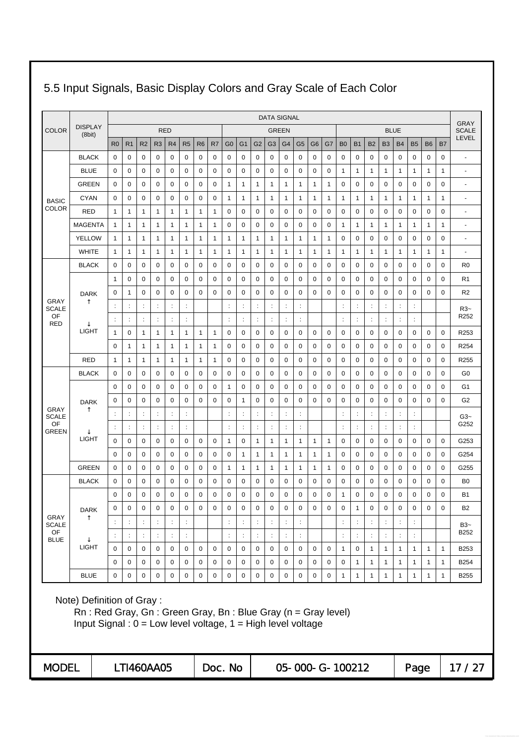| <b>DATA SIGNAL</b>          |                                                                                                                                                              |                      |                      |                |                      |                |                |                |             |                |                      |                      | <b>GRAY</b>          |                      |                |                 |              |                      |                      |                      |                |                      |                      |              |              |                          |
|-----------------------------|--------------------------------------------------------------------------------------------------------------------------------------------------------------|----------------------|----------------------|----------------|----------------------|----------------|----------------|----------------|-------------|----------------|----------------------|----------------------|----------------------|----------------------|----------------|-----------------|--------------|----------------------|----------------------|----------------------|----------------|----------------------|----------------------|--------------|--------------|--------------------------|
| COLOR                       | <b>DISPLAY</b><br>(8bit)                                                                                                                                     |                      |                      |                |                      | <b>RED</b>     |                |                |             |                |                      |                      |                      | <b>GREEN</b>         |                |                 |              |                      |                      |                      |                | <b>BLUE</b>          |                      |              |              | <b>SCALE</b>             |
|                             |                                                                                                                                                              | R <sub>0</sub>       | R <sub>1</sub>       | R <sub>2</sub> | R <sub>3</sub>       | R4             | R <sub>5</sub> | R <sub>6</sub> | R7          | G <sub>0</sub> | G <sub>1</sub>       | G <sub>2</sub>       | G <sub>3</sub>       | G <sub>4</sub>       | G <sub>5</sub> | G <sub>6</sub>  | G7           | B <sub>0</sub>       | <b>B1</b>            | <b>B2</b>            | <b>B3</b>      | <b>B4</b>            | <b>B5</b>            | <b>B6</b>    | <b>B7</b>    | LEVEL                    |
|                             | <b>BLACK</b>                                                                                                                                                 | 0                    | 0                    | 0              | 0                    | 0              | 0              | 0              | 0           | 0              | 0                    | 0                    | 0                    | 0                    | 0              | 0               | 0            | 0                    | 0                    | 0                    | 0              | 0                    | 0                    | 0            | 0            | ÷,                       |
|                             | <b>BLUE</b>                                                                                                                                                  | 0                    | 0                    | 0              | 0                    | 0              | 0              | 0              | 0           | 0              | 0                    | 0                    | 0                    | 0                    | 0              | 0               | 0            | 1                    | 1                    | 1                    | 1              | 1                    | 1                    | 1            | 1            | $\overline{a}$           |
|                             | <b>GREEN</b>                                                                                                                                                 | 0                    | 0                    | 0              | 0                    | 0              | 0              | 0              | 0           | 1              | $\mathbf{1}$         | 1                    | $\mathbf{1}$         | 1                    | 1              | 1               | $\mathbf{1}$ | 0                    | 0                    | 0                    | 0              | 0                    | 0                    | 0            | 0            | $\blacksquare$           |
| <b>BASIC</b>                | CYAN                                                                                                                                                         | 0                    | 0                    | 0              | 0                    | 0              | 0              | 0              | 0           | 1              | $\mathbf{1}$         | 1                    | 1                    | 1                    | 1              | 1               | $\mathbf{1}$ | 1                    | $\mathbf{1}$         | 1                    | 1              | 1                    | 1                    | 1            | 1            | $\overline{a}$           |
| <b>COLOR</b>                | RED                                                                                                                                                          | $\mathbf{1}$         | $\mathbf{1}$         | 1              | 1                    | 1              | 1              | $\mathbf{1}$   | 1           | 0              | 0                    | 0                    | 0                    | 0                    | 0              | 0               | 0            | 0                    | 0                    | 0                    | 0              | 0                    | 0                    | 0            | 0            | $\blacksquare$           |
|                             | <b>MAGENTA</b>                                                                                                                                               | 1                    | $\mathbf{1}$         | 1              | 1                    | 1              | 1              | 1              | 1           | 0              | $\mathbf 0$          | $\mathbf 0$          | 0                    | 0                    | 0              | $\mathbf 0$     | 0            | 1                    | $\mathbf{1}$         | 1                    | 1              | 1                    | 1                    | 1            | 1            | $\overline{a}$           |
|                             | <b>YELLOW</b>                                                                                                                                                | 1                    | $\mathbf{1}$         | 1              | 1                    | 1              | 1              | 1              | 1           | 1              | 1                    | 1                    | 1                    | 1                    | 1              | 1               | 1            | $\mathbf 0$          | 0                    | $\mathbf 0$          | 0              | $\mathbf 0$          | 0                    | 0            | 0            | $\overline{\phantom{a}}$ |
|                             | <b>WHITE</b>                                                                                                                                                 | 1                    | $\mathbf{1}$         | 1              | 1                    | 1              | 1              | 1              | 1           | 1              | 1                    | 1                    | 1                    | 1                    | 1              | 1               | $\mathbf{1}$ | 1                    | 1                    | 1                    | 1              | 1                    | 1                    | 1            | 1            | ÷,                       |
|                             | <b>BLACK</b>                                                                                                                                                 | 0                    | 0                    | 0              | 0                    | 0              | 0              | 0              | 0           | 0              | 0                    | 0                    | 0                    | 0                    | 0              | 0               | 0            | $\mathbf 0$          | 0                    | 0                    | 0              | 0                    | 0                    | 0            | 0            | R <sub>0</sub>           |
|                             |                                                                                                                                                              | $\mathbf{1}$         | 0                    | 0              | 0                    | 0              | 0              | 0              | 0           | 0              | 0                    | 0                    | 0                    | 0                    | 0              | 0               | 0            | 0                    | $\mathbf 0$          | 0                    | 0              | 0                    | 0                    | 0            | 0            | R <sub>1</sub>           |
|                             | <b>DARK</b>                                                                                                                                                  | 0                    | $\mathbf{1}$         | 0              | 0                    | 0              | 0              | 0              | 0           | 0              | 0                    | 0                    | 0                    | 0                    | 0              | 0               | 0            | 0                    | 0                    | 0                    | 0              | 0                    | 0                    | 0            | 0            | R <sub>2</sub>           |
| <b>GRAY</b><br><b>SCALE</b> |                                                                                                                                                              | $\ddot{\cdot}$       | ÷                    |                | $\ddot{\phantom{a}}$ | $\ddot{\cdot}$ | $\ddot{\cdot}$ |                |             | $\ddot{\cdot}$ | $\ddot{\phantom{a}}$ |                      | $\ddot{\cdot}$       | $\ddot{\cdot}$       | ÷              |                 |              | $\ddot{\cdot}$       | $\ddot{\cdot}$       | $\ddot{\phantom{a}}$ | $\ddot{\cdot}$ | $\ddot{\phantom{a}}$ | $\ddot{\cdot}$       |              |              | $R3-$                    |
| OF<br><b>RED</b>            |                                                                                                                                                              |                      | ÷                    | ÷              | ÷                    | $\ddot{\cdot}$ | ÷              |                |             | $\ddot{\cdot}$ | ÷                    | ÷                    | ÷                    | ÷                    | ÷              |                 |              | $\ddot{\phantom{a}}$ | ÷                    | ÷                    | ÷              | ÷                    | ÷                    |              |              | R <sub>252</sub>         |
|                             | <b>LIGHT</b>                                                                                                                                                 | 1                    | 0                    | 1              | 1                    | 1              | 1              | 1              | 1           | 0              | 0                    | 0                    | 0                    | 0                    | 0              | 0               | 0            | 0                    | 0                    | 0                    | 0              | 0                    | 0                    | 0            | 0            | R <sub>253</sub>         |
|                             |                                                                                                                                                              | 0                    | $\mathbf{1}$         | 1              | 1                    | 1              | 1              | 1              | 1           | 0              | 0                    | 0                    | 0                    | 0                    | 0              | 0               | 0            | 0                    | 0                    | 0                    | 0              | 0                    | 0                    | 0            | 0            | R <sub>254</sub>         |
|                             | <b>RED</b>                                                                                                                                                   | $\mathbf{1}$         | $\mathbf{1}$         | 1              | 1                    | 1              | 1              | $\mathbf{1}$   | 1           | 0              | 0                    | 0                    | 0                    | 0                    | 0              | 0               | 0            | 0                    | 0                    | 0                    | 0              | $\mathbf 0$          | 0                    | 0            | 0            | R <sub>255</sub>         |
|                             | <b>BLACK</b>                                                                                                                                                 | 0                    | 0                    | 0              | 0                    | 0              | 0              | 0              | 0           | 0              | 0                    | 0                    | 0                    | 0                    | 0              | 0               | 0            | 0                    | 0                    | 0                    | 0              | 0                    | 0                    | 0            | 0            | G0                       |
|                             | <b>DARK</b>                                                                                                                                                  | 0                    | 0                    | $\mathbf 0$    | 0                    | 0              | 0              | 0              | 0           | 1              | 0                    | $\mathbf 0$          | 0                    | 0                    | 0              | $\mathbf 0$     | 0            | 0                    | 0                    | $\mathbf 0$          | 0              | $\mathbf 0$          | 0                    | 0            | 0            | G <sub>1</sub>           |
| <b>GRAY</b>                 |                                                                                                                                                              | 0                    | 0                    | $\mathbf 0$    | 0                    | 0              | 0              | 0              | $\mathbf 0$ | 0              | $\mathbf{1}$         | $\mathbf 0$          | 0                    | $\mathbf 0$          | $\pmb{0}$      | $\mathbf 0$     | $\mathbf 0$  | 0                    | $\mathbf 0$          | $\mathbf 0$          | 0              | 0                    | 0                    | 0            | 0            | G <sub>2</sub>           |
| <b>SCALE</b>                |                                                                                                                                                              | $\ddot{\phantom{a}}$ | $\ddot{\cdot}$       |                | $\ddot{\cdot}$       | $\ddot{\cdot}$ | $\ddot{\cdot}$ |                |             | $\ddot{\cdot}$ | $\ddot{\cdot}$       |                      | $\ddot{\cdot}$       | ÷                    |                |                 |              | $\ddot{\phantom{a}}$ | $\ddot{\phantom{a}}$ |                      | $\ddot{\cdot}$ | ÷                    | $\ddot{\phantom{a}}$ |              |              | $G3-$                    |
| OF<br><b>GREEN</b>          |                                                                                                                                                              | $\ddot{\phantom{a}}$ | ÷                    |                | $\ddot{\cdot}$       | ÷              | ÷              |                |             | ÷              | $\ddot{\cdot}$       | $\ddot{\cdot}$       | ÷                    | $\ddot{\cdot}$       | ÷              |                 |              | $\ddot{\cdot}$       | $\ddot{\phantom{a}}$ | $\ddot{\cdot}$       | $\ddot{\cdot}$ | $\ddot{\cdot}$       | ÷                    |              |              | G252                     |
|                             | <b>LIGHT</b>                                                                                                                                                 | 0                    | 0                    | 0              | 0                    | 0              | 0              | 0              | 0           | 1              | 0                    | 1                    | 1                    | 1                    | 1              | 1               | $\mathbf{1}$ | 0                    | 0                    | 0                    | 0              | 0                    | 0                    | 0            | 0            | G253                     |
|                             |                                                                                                                                                              | 0                    | 0                    | 0              | 0                    | 0              | 0              | 0              | 0           | 0              | $\mathbf{1}$         | 1                    | 1                    | 1                    | 1              | 1               | 1            | 0                    | 0                    | 0                    | 0              | 0                    | 0                    | 0            | 0            | G254                     |
|                             | <b>GREEN</b>                                                                                                                                                 | 0                    | 0                    | 0              | 0                    | 0              | 0              | 0              | 0           | 1              | $\mathbf{1}$         | 1                    | 1                    | 1                    | 1              | 1               | 1            | 0                    | $\mathbf 0$          | $\mathbf 0$          | 0              | 0                    | 0                    | 0            | 0            | G255                     |
|                             | <b>BLACK</b>                                                                                                                                                 | 0                    | 0                    | 0              | 0                    | 0              | 0              | 0              | 0           | 0              | 0                    | 0                    | 0                    | 0                    | 0              | 0               | 0            | 0                    | 0                    | 0                    | 0              | 0                    | 0                    | 0            | 0            | B <sub>0</sub>           |
|                             |                                                                                                                                                              | 0                    | 0                    | 0              | 0                    | 0              | 0              | 0              | 0           | 0              | 0                    | 0                    | 0                    | 0                    | 0              | 0               | 0            | 1                    | 0                    | 0                    | 0              | 0                    | 0                    | 0            | 0            | <b>B1</b>                |
| GRAY                        | <b>DARK</b>                                                                                                                                                  | 0                    | $\mathbf 0$          | $\mathbf 0$    | 0                    | 0              | 0              | $\pmb{0}$      | 0           | 0              | 0                    | $\pmb{0}$            | $\pmb{0}$            | 0                    | 0              | $\pmb{0}$       | $\pmb{0}$    | $\mathbf 0$          | $\mathbf{1}$         | $\mathbf 0$          | $\mathbf 0$    | 0                    | $\pmb{0}$            | $\pmb{0}$    | $\mathbf 0$  | <b>B2</b>                |
| <b>SCALE</b>                |                                                                                                                                                              |                      | $\ddot{\cdot}$       |                |                      |                |                |                |             |                | $\ddot{\phantom{a}}$ |                      | $\ddot{\cdot}$       | $\ddot{\phantom{a}}$ |                |                 |              |                      | $\ddot{\cdot}$       |                      | ÷              | $\ddot{\cdot}$       | $\ddot{\cdot}$       |              |              | $B3-$                    |
| OF<br><b>BLUE</b>           |                                                                                                                                                              | $\ddot{\cdot}$       | $\ddot{\phantom{a}}$ | $\ddot{\cdot}$ | $\ddot{\cdot}$       | $\ddot{\cdot}$ | $\ddot{\cdot}$ |                |             | $\ddot{\cdot}$ | $\ddot{\phantom{a}}$ | $\ddot{\phantom{a}}$ | $\ddot{\phantom{a}}$ | $\pm$                | $\div$         |                 |              | $\ddot{\phantom{a}}$ | $\ddot{\cdot}$       | $\cdot$              | $\ddot{\cdot}$ | $\ddot{\cdot}$       | $\ddot{\cdot}$       |              |              | B252                     |
|                             | <b>LIGHT</b>                                                                                                                                                 | 0                    | $\mathbf 0$          | $\mathbf 0$    | 0                    | $\mathbf 0$    | 0              | 0              | 0           | 0              | $\mathbf 0$          | $\mathbf 0$          | 0                    | $\mathbf 0$          | $\mathbf 0$    | $\mathbf 0$     | $\mathbf 0$  | $\mathbf{1}$         | $\mathbf 0$          | $\mathbf{1}$         | $\mathbf{1}$   | $\mathbf{1}$         | $\mathbf{1}$         | $\mathbf{1}$ | $\mathbf{1}$ | B253                     |
|                             |                                                                                                                                                              | $\pmb{0}$            | $\mathbf 0$          | $\mathbf 0$    | $\mathbf 0$          | $\mathbf 0$    | 0              | $\mathbf 0$    | 0           | 0              | $\mathbf 0$          | $\pmb{0}$            | $\pmb{0}$            | $\pmb{0}$            | $\mathbf 0$    | $\pmb{0}$       | $\mathbf 0$  | $\mathsf 0$          | $\mathbf{1}$         | $\mathbf{1}$         | $\mathbf{1}$   | $\mathbf{1}$         | $\mathbf{1}$         | $\mathbf{1}$ | $\mathbf{1}$ | B254                     |
|                             | <b>BLUE</b>                                                                                                                                                  | 0                    | $\mathbf 0$          | $\mathbf 0$    | 0                    | 0              | 0              | 0              | 0           | 0              | $\pmb{0}$            | $\mathbf 0$          | 0                    | $\mathbf 0$          | 0              | 0               | $\pmb{0}$    | $\mathbf{1}$         | $\mathbf{1}$         | $\mathbf{1}$         | $\mathbf{1}$   | $\mathbf{1}$         | $\mathbf{1}$         | $\mathbf{1}$ | $\mathbf{1}$ | B255                     |
|                             | Note) Definition of Gray:<br>Rn: Red Gray, Gn: Green Gray, Bn: Blue Gray (n = Gray level)<br>Input Signal: $0 = Low$ level voltage, $1 = High$ level voltage |                      |                      |                |                      |                |                |                |             |                |                      |                      |                      |                      |                |                 |              |                      |                      |                      |                |                      |                      |              |              |                          |
| <b>MODEL</b>                |                                                                                                                                                              |                      |                      | LTI460AA05     |                      |                |                |                |             | Doc. No        |                      |                      |                      |                      |                | 05-000-G-100212 |              |                      |                      |                      |                |                      | Page                 |              |              | 17/27                    |

# 5.5 Input Signals, Basic Display Colors and Gray Scale of Each Color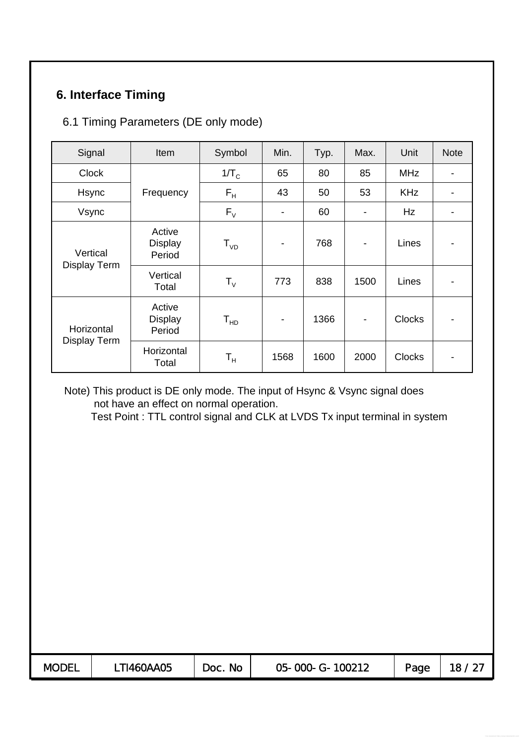# **6. Interface Timing**

### 6.1 Timing Parameters (DE only mode)

| Signal                          | Item                               | Symbol                    | Min.                     | Typ. | Max. | Unit          | <b>Note</b> |
|---------------------------------|------------------------------------|---------------------------|--------------------------|------|------|---------------|-------------|
| <b>Clock</b>                    |                                    | $1/T_c$                   | 65                       | 80   | 85   | <b>MHz</b>    |             |
| Hsync                           | Frequency                          | $F_H$                     | 43                       | 50   | 53   | <b>KHz</b>    |             |
| Vsync                           |                                    | $F_{V}$                   | $\overline{\phantom{a}}$ | 60   |      | Hz            |             |
| Vertical<br><b>Display Term</b> | Active<br><b>Display</b><br>Period | $T_{VD}$                  | $\overline{\phantom{a}}$ | 768  |      | Lines         |             |
|                                 | Vertical<br>Total                  | $T_{V}$                   | 773                      | 838  | 1500 | Lines         |             |
| Horizontal                      | Active<br><b>Display</b><br>Period | $T_{HD}$                  | $\overline{\phantom{a}}$ | 1366 |      | <b>Clocks</b> |             |
| <b>Display Term</b>             | Horizontal<br>Total                | $\mathsf{T}_{\mathsf{H}}$ | 1568                     | 1600 | 2000 | <b>Clocks</b> |             |

Note) This product is DE only mode. The input of Hsync & Vsync signal does not have an effect on normal operation.

Test Point : TTL control signal and CLK at LVDS Tx input terminal in system

| <b>MODEL</b> | T1460AA05 | <b>No</b><br>Doc. | 100212<br>05-000-<br>$G-$ | Page |  |
|--------------|-----------|-------------------|---------------------------|------|--|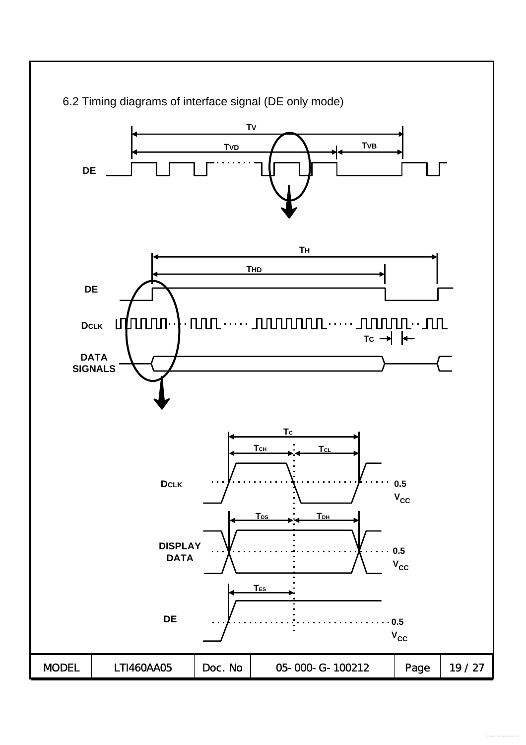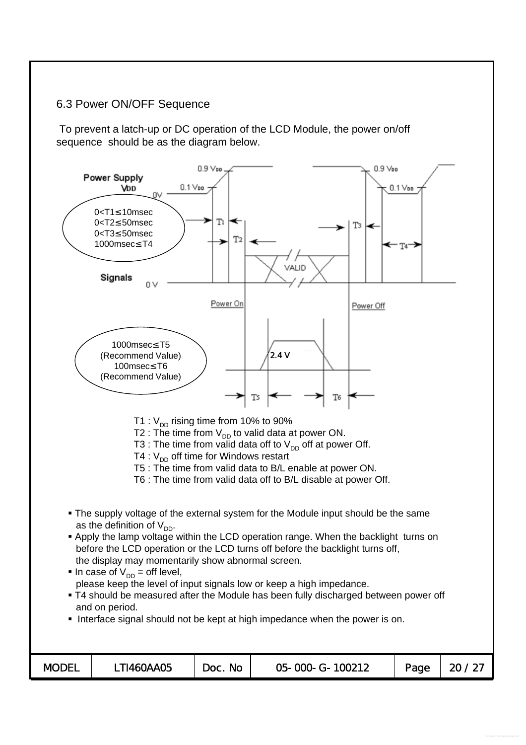### 6.3 Power ON/OFF Sequence

To prevent a latch-up or DC operation of the LCD Module, the power on/off sequence should be as the diagram below.

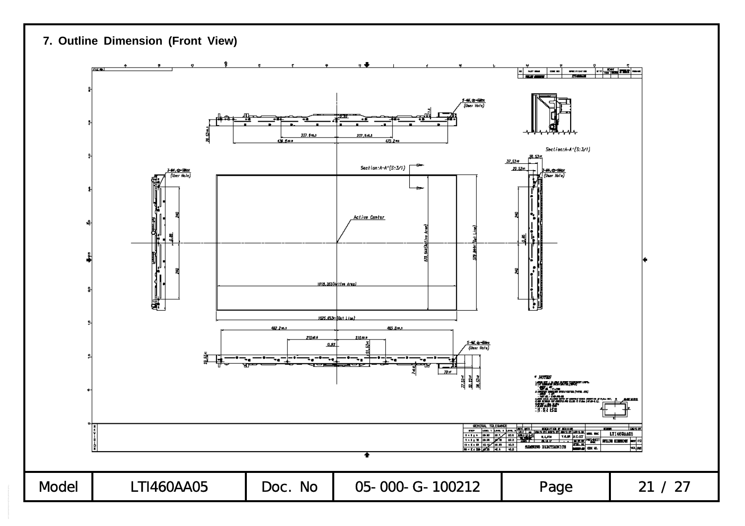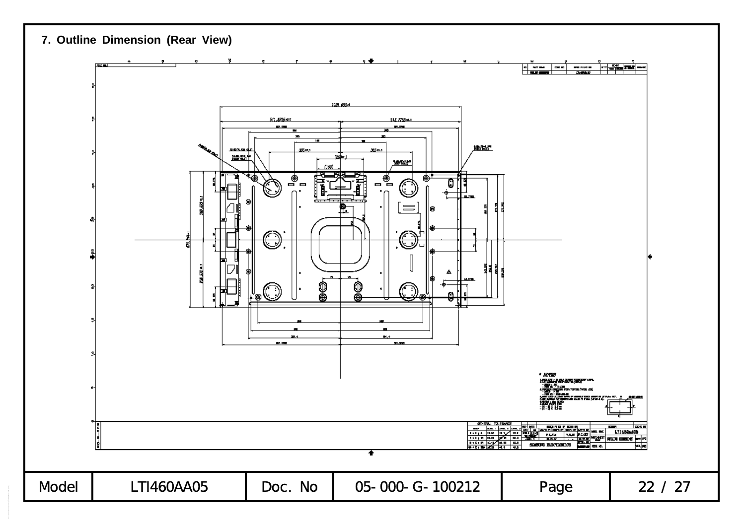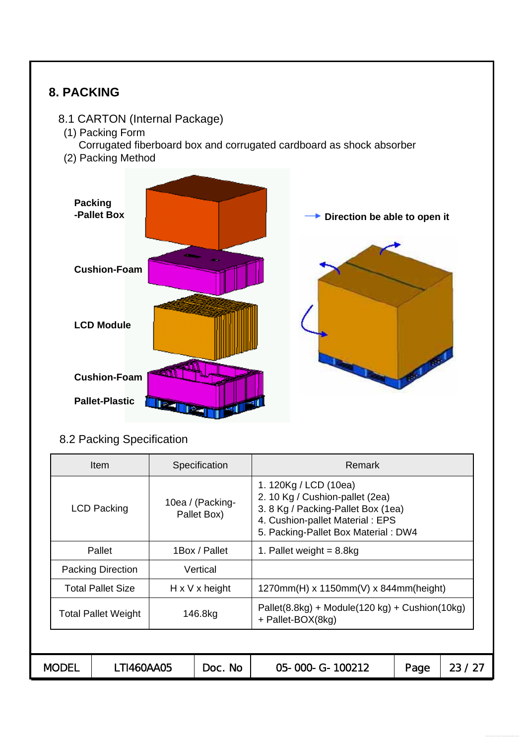

| <b>Item</b>                |                          |  | Specification                   | Remark                                                                                                                                                                   |      |       |  |  |  |
|----------------------------|--------------------------|--|---------------------------------|--------------------------------------------------------------------------------------------------------------------------------------------------------------------------|------|-------|--|--|--|
| <b>LCD Packing</b>         |                          |  | 10ea / (Packing-<br>Pallet Box) | 1. 120Kg / LCD (10ea)<br>2. 10 Kg / Cushion-pallet (2ea)<br>3. 8 Kg / Packing-Pallet Box (1ea)<br>4. Cushion-pallet Material: EPS<br>5. Packing-Pallet Box Material: DW4 |      |       |  |  |  |
| Pallet                     |                          |  | 1Box / Pallet                   | 1. Pallet weight $= 8.8$ kg                                                                                                                                              |      |       |  |  |  |
| <b>Packing Direction</b>   |                          |  | Vertical                        |                                                                                                                                                                          |      |       |  |  |  |
|                            | <b>Total Pallet Size</b> |  | $H \times V \times$ height      | $1270mm(H)$ x 1150mm(V) x 844mm(height)                                                                                                                                  |      |       |  |  |  |
| <b>Total Pallet Weight</b> |                          |  | 146.8kg                         | $Pallet(8.8kg) + Module(120 kg) + Cushion(10kg)$<br>+ Pallet-BOX(8kg)                                                                                                    |      |       |  |  |  |
|                            |                          |  |                                 |                                                                                                                                                                          |      |       |  |  |  |
| <b>MODEL</b>               | LTI460AA05               |  | Doc. No                         | 05-000-G-100212                                                                                                                                                          | Page | 23/27 |  |  |  |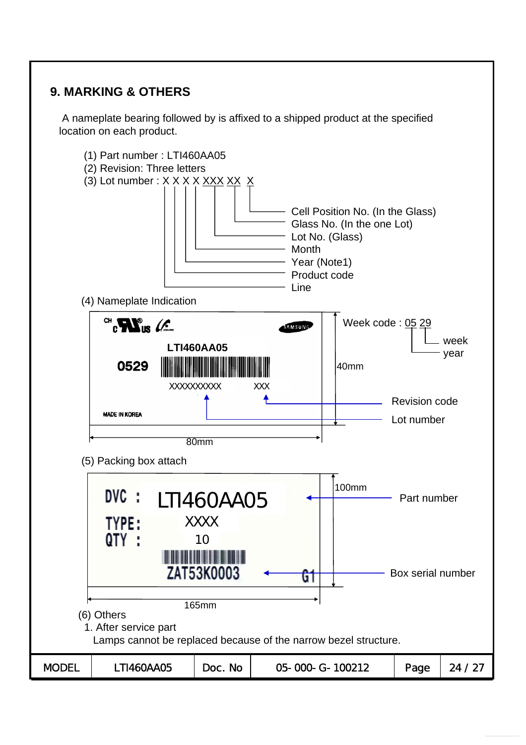# **9. MARKING & OTHERS**

A nameplate bearing followed by is affixed to a shipped product at the specified location on each product.

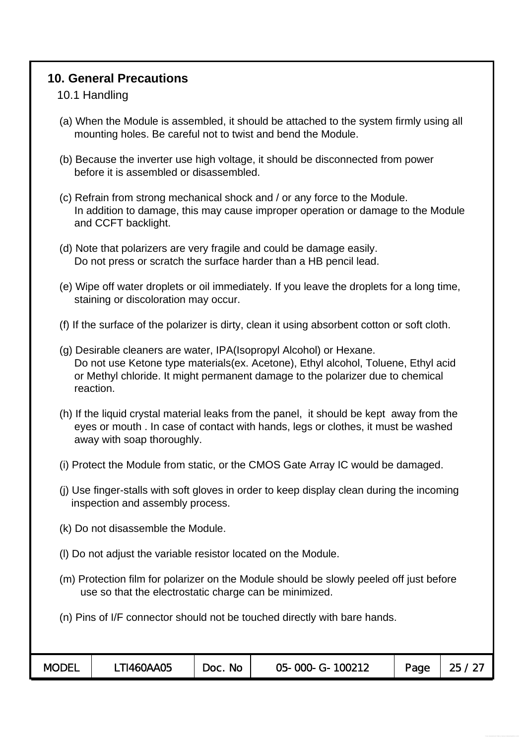### **10. General Precautions**

### 10.1 Handling

- (a) When the Module is assembled, it should be attached to the system firmly using all mounting holes. Be careful not to twist and bend the Module.
- (b) Because the inverter use high voltage, it should be disconnected from power before it is assembled or disassembled.
- (c) Refrain from strong mechanical shock and / or any force to the Module. In addition to damage, this may cause improper operation or damage to the Module and CCFT backlight.
- (d) Note that polarizers are very fragile and could be damage easily. Do not press or scratch the surface harder than a HB pencil lead.
- (e) Wipe off water droplets or oil immediately. If you leave the droplets for a long time, staining or discoloration may occur.
- (f) If the surface of the polarizer is dirty, clean it using absorbent cotton or soft cloth.
- (g) Desirable cleaners are water, IPA(Isopropyl Alcohol) or Hexane. Do not use Ketone type materials(ex. Acetone), Ethyl alcohol, Toluene, Ethyl acid or Methyl chloride. It might permanent damage to the polarizer due to chemical reaction.
- (h) If the liquid crystal material leaks from the panel, it should be kept away from the eyes or mouth . In case of contact with hands, legs or clothes, it must be washed away with soap thoroughly.
- (i) Protect the Module from static, or the CMOS Gate Array IC would be damaged.
- (j) Use finger-stalls with soft gloves in order to keep display clean during the incoming inspection and assembly process.
- (k) Do not disassemble the Module.
- (l) Do not adjust the variable resistor located on the Module.
- (m) Protection film for polarizer on the Module should be slowly peeled off just before use so that the electrostatic charge can be minimized.
- (n) Pins of I/F connector should not be touched directly with bare hands.

| <b>MODEL</b> | T1460AA05 | <b>No</b><br>DOC. | 05-000-G-100212 | Page | つに<br>ے |
|--------------|-----------|-------------------|-----------------|------|---------|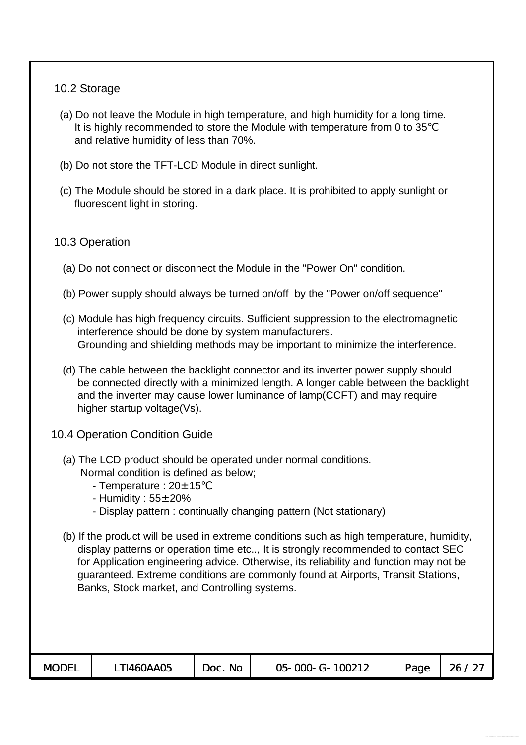### 10.2 Storage

- (a) Do not leave the Module in high temperature, and high humidity for a long time. It is highly recommended to store the Module with temperature from 0 to 35 and relative humidity of less than 70%.
- (b) Do not store the TFT-LCD Module in direct sunlight.
- (c) The Module should be stored in a dark place. It is prohibited to apply sunlight or fluorescent light in storing.

### 10.3 Operation

- (a) Do not connect or disconnect the Module in the "Power On" condition.
- (b) Power supply should always be turned on/off by the "Power on/off sequence"
- (c) Module has high frequency circuits. Sufficient suppression to the electromagnetic interference should be done by system manufacturers. Grounding and shielding methods may be important to minimize the interference.
- (d) The cable between the backlight connector and its inverter power supply should be connected directly with a minimized length. A longer cable between the backlight and the inverter may cause lower luminance of lamp(CCFT) and may require higher startup voltage(Vs).
- 10.4 Operation Condition Guide
	- (a) The LCD product should be operated under normal conditions. Normal condition is defined as below;
		- Temperature :  $20 \pm 15$
		- Humidity :  $55\pm20\%$
		- Display pattern : continually changing pattern (Not stationary)
	- (b) If the product will be used in extreme conditions such as high temperature, humidity, display patterns or operation time etc.., It is strongly recommended to contact SEC for Application engineering advice. Otherwise, its reliability and function may not be guaranteed. Extreme conditions are commonly found at Airports, Transit Stations, Banks, Stock market, and Controlling systems.

| <b>MODEL</b> | TI460AA05 | <b>No</b><br>Doc. | 05-000-G-100212 | Page | 26 |
|--------------|-----------|-------------------|-----------------|------|----|